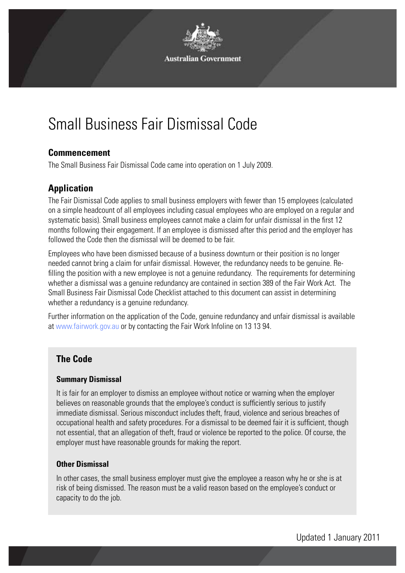

# Small Business Fair Dismissal Code

### **Commencement**

The Small Business Fair Dismissal Code came into operation on 1 July 2009.

## **Application**

The Fair Dismissal Code applies to small business employers with fewer than 15 employees (calculated on a simple headcount of all employees including casual employees who are employed on a regular and systematic basis). Small business employees cannot make a claim for unfair dismissal in the first 12 months following their engagement. If an employee is dismissed after this period and the employer has followed the Code then the dismissal will be deemed to be fair.

Employees who have been dismissed because of a business downturn or their position is no longer needed cannot bring a claim for unfair dismissal. However, the redundancy needs to be genuine. Refilling the position with a new employee is not a genuine redundancy. The requirements for determining whether a dismissal was a genuine redundancy are contained in section 389 of the Fair Work Act. The Small Business Fair Dismissal Code Checklist attached to this document can assist in determining whether a redundancy is a genuine redundancy.

Further information on the application of the Code, genuine redundancy and unfair dismissal is available at www.fairwork.gov.au or by contacting the Fair Work Infoline on 13 13 94.

## **The Code**

#### **Summary Dismissal**

It is fair for an employer to dismiss an employee without notice or warning when the employer believes on reasonable grounds that the employee's conduct is sufficiently serious to justify immediate dismissal. Serious misconduct includes theft, fraud, violence and serious breaches of occupational health and safety procedures. For a dismissal to be deemed fair it is sufficient, though not essential, that an allegation of theft, fraud or violence be reported to the police. Of course, the employer must have reasonable grounds for making the report.

#### **Other Dismissal**

In other cases, the small business employer must give the employee a reason why he or she is at risk of being dismissed. The reason must be a valid reason based on the employee's conduct or capacity to do the job.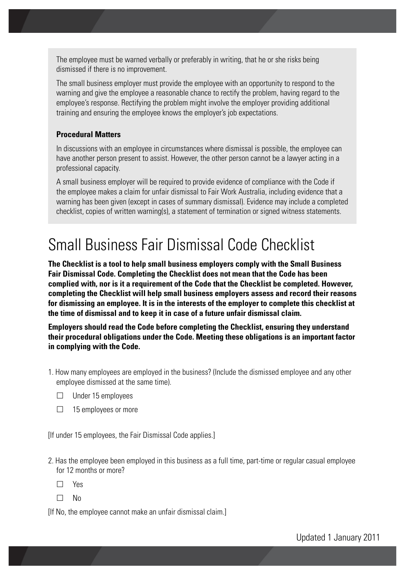The employee must be warned verbally or preferably in writing, that he or she risks being dismissed if there is no improvement.

The small business employer must provide the employee with an opportunity to respond to the warning and give the employee a reasonable chance to rectify the problem, having regard to the employee's response. Rectifying the problem might involve the employer providing additional training and ensuring the employee knows the employer's job expectations.

#### **Procedural Matters**

In discussions with an employee in circumstances where dismissal is possible, the employee can have another person present to assist. However, the other person cannot be a lawyer acting in a professional capacity.

A small business employer will be required to provide evidence of compliance with the Code if the employee makes a claim for unfair dismissal to Fair Work Australia, including evidence that a warning has been given (except in cases of summary dismissal). Evidence may include a completed checklist, copies of written warning(s), a statement of termination or signed witness statements.

## Small Business Fair Dismissal Code Checklist

**The Checklist is a tool to help small business employers comply with the Small Business Fair Dismissal Code. Completing the Checklist does not mean that the Code has been complied with, nor is it a requirement of the Code that the Checklist be completed. However, completing the Checklist will help small business employers assess and record their reasons for dismissing an employee. It is in the interests of the employer to complete this checklist at the time of dismissal and to keep it in case of a future unfair dismissal claim.**

**Employers should read the Code before completing the Checklist, ensuring they understand their procedural obligations under the Code. Meeting these obligations is an important factor in complying with the Code.** 

- 1. How many employees are employed in the business? (Include the dismissed employee and any other employee dismissed at the same time).
	- $\Box$  Under 15 employees
	- $\Box$  15 employees or more

[If under 15 employees, the Fair Dismissal Code applies.]

- 2. Has the employee been employed in this business as a full time, part-time or regular casual employee for 12 months or more?
	- Yes
	- $\Box$  No

[If No, the employee cannot make an unfair dismissal claim.]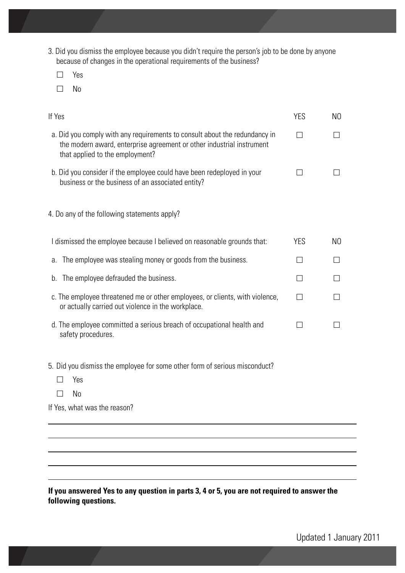- 3. Did you dismiss the employee because you didn't require the person's job to be done by anyone because of changes in the operational requirements of the business?
	- □ Yes
	- $\square$  No

| If Yes                                                                                                                                                                                 | <b>YES</b>   | N0             |
|----------------------------------------------------------------------------------------------------------------------------------------------------------------------------------------|--------------|----------------|
| a. Did you comply with any requirements to consult about the redundancy in<br>the modern award, enterprise agreement or other industrial instrument<br>that applied to the employment? |              |                |
| b. Did you consider if the employee could have been redeployed in your<br>business or the business of an associated entity?                                                            |              |                |
| 4. Do any of the following statements apply?                                                                                                                                           |              |                |
| I dismissed the employee because I believed on reasonable grounds that:                                                                                                                | <b>YES</b>   | N <sub>0</sub> |
| The employee was stealing money or goods from the business.<br>a.                                                                                                                      | П            | П              |
| The employee defrauded the business.<br>b.                                                                                                                                             | $\mathsf{L}$ |                |
| c. The employee threatened me or other employees, or clients, with violence,<br>or actually carried out violence in the workplace.                                                     |              |                |
| d. The employee committed a serious breach of occupational health and<br>safety procedures.                                                                                            | $\Box$       |                |
| 5. Did you dismiss the employee for some other form of serious misconduct?<br>Yes<br>N <sub>0</sub>                                                                                    |              |                |
| If Yes, what was the reason?                                                                                                                                                           |              |                |

**If you answered Yes to any question in parts 3, 4 or 5, you are not required to answer the following questions.**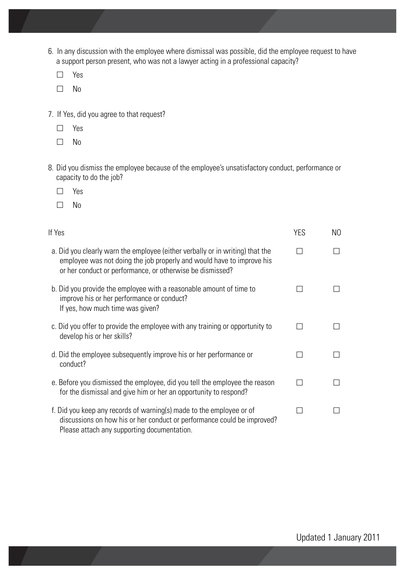- 6. In any discussion with the employee where dismissal was possible, did the employee request to have a support person present, who was not a lawyer acting in a professional capacity?
	- □ Yes
	- $\square$  No
- 7. If Yes, did you agree to that request?
	- Yes
	- $\square$  No
- 8. Did you dismiss the employee because of the employee's unsatisfactory conduct, performance or capacity to do the job?
	- □ Yes
	- $\square$  No

| If Yes                                                                                                                                                                                                              | <b>YES</b> | NO. |
|---------------------------------------------------------------------------------------------------------------------------------------------------------------------------------------------------------------------|------------|-----|
| a. Did you clearly warn the employee (either verbally or in writing) that the<br>employee was not doing the job properly and would have to improve his<br>or her conduct or performance, or otherwise be dismissed? |            |     |
| b. Did you provide the employee with a reasonable amount of time to<br>improve his or her performance or conduct?<br>If yes, how much time was given?                                                               |            |     |
| c. Did you offer to provide the employee with any training or opportunity to<br>develop his or her skills?                                                                                                          |            |     |
| d. Did the employee subsequently improve his or her performance or<br>conduct?                                                                                                                                      |            |     |
| e. Before you dismissed the employee, did you tell the employee the reason<br>for the dismissal and give him or her an opportunity to respond?                                                                      |            |     |
| f. Did you keep any records of warning(s) made to the employee or of<br>discussions on how his or her conduct or performance could be improved?<br>Please attach any supporting documentation.                      |            |     |